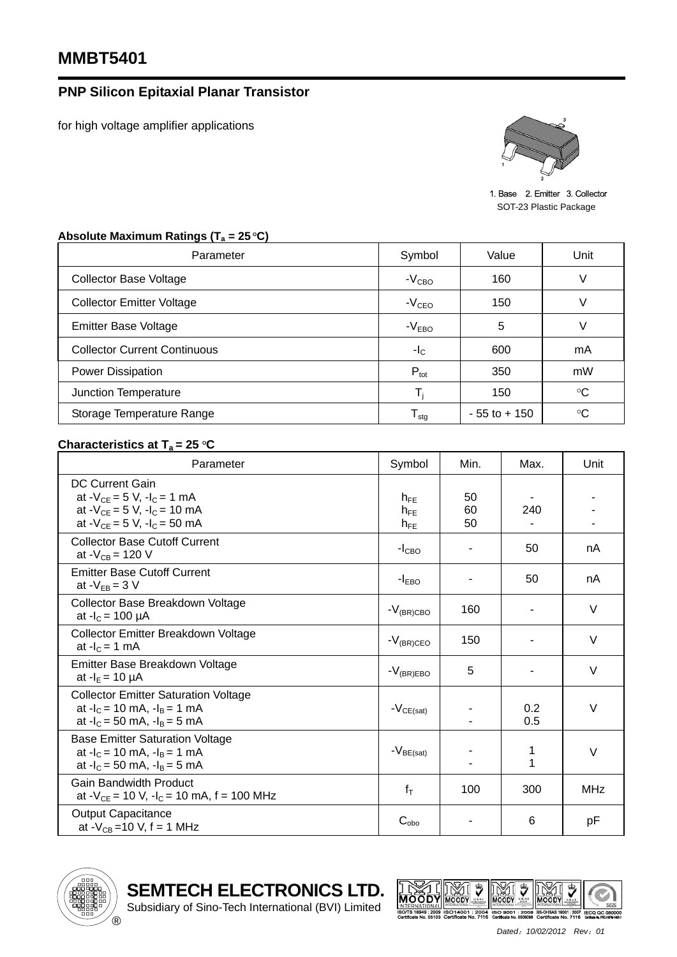## **PNP Silicon Epitaxial Planar Transistor**

for high voltage amplifier applications



1. Base 2. Emitter 3. Collector SOT-23 Plastic Package

## Absolute Maximum Ratings (T<sub>a</sub> = 25 °C) Parameter **National Symbol** Value Unit Collector Base Voltage  $V$  Collector Base Voltage  $V$ Collector Emitter Voltage  $\vert$   $-V_{\text{CEO}}$  | 150 V Emitter Base Voltage  $\overline{V}$  and  $\overline{V}$  and  $\overline{V}$  and  $\overline{V}$  and  $\overline{V}$  and  $\overline{V}$  and  $\overline{V}$  and  $\overline{V}$  and  $\overline{V}$  and  $\overline{V}$  and  $\overline{V}$  and  $\overline{V}$  and  $\overline{V}$  and  $\overline{V}$  and  $\overline{V}$  and  $\overline{V$ Collector Current Continuous and the collector Current Continuous and the collector of the collector of the mA Power Dissipation **P**<sub>tot</sub> **1** and 350 mW Junction Temperature Times and Times and Times Times Times Times Times Times Times Times Times Times Times Tim 150  $\circ$ C Storage Temperature Range  $\vert$   $T_{\text{stg}}$   $\vert$  - 55 to + 150  $\mathrm{C}$

## **Characteristics at**  $T_a = 25 \degree C$

| Parameter                                                                                                                                  | Symbol                           | Min.           | Max.       | Unit       |
|--------------------------------------------------------------------------------------------------------------------------------------------|----------------------------------|----------------|------------|------------|
| <b>DC Current Gain</b><br>at $-V_{CE} = 5 V$ , $-I_C = 1 mA$<br>at $-V_{CE} = 5 V$ , $-I_C = 10 mA$<br>at $-V_{CE} = 5 V$ , $-I_C = 50 mA$ | $h_{FF}$<br>$h_{FE}$<br>$h_{FE}$ | 50<br>60<br>50 | 240        |            |
| <b>Collector Base Cutoff Current</b><br>at - $V_{CB}$ = 120 V                                                                              | $-ICBO$                          |                | 50         | nA         |
| <b>Emitter Base Cutoff Current</b><br>at $-V_{EB} = 3 V$                                                                                   | $-IEBO$                          |                | 50         | nA         |
| Collector Base Breakdown Voltage<br>at $-I_c = 100 \mu A$                                                                                  | $-V_{(BR)CBO}$                   | 160            |            | V          |
| Collector Emitter Breakdown Voltage<br>at $-IC = 1$ mA                                                                                     | $-V_{(BR)CEO}$                   | 150            |            | $\vee$     |
| Emitter Base Breakdown Voltage<br>at $-I_E = 10 \mu A$                                                                                     | $-V_{(BR)EBO}$                   | 5              |            | $\vee$     |
| <b>Collector Emitter Saturation Voltage</b><br>at $-I_c = 10$ mA, $-I_B = 1$ mA<br>at $-I_c = 50$ mA, $-I_B = 5$ mA                        | $-V_{CE(sat)}$                   |                | 0.2<br>0.5 | $\vee$     |
| <b>Base Emitter Saturation Voltage</b><br>at $-I_c = 10$ mA, $-I_B = 1$ mA<br>at $-I_c = 50$ mA, $-I_B = 5$ mA                             | $-V_{BE(sat)}$                   |                | 1<br>1     | $\vee$     |
| <b>Gain Bandwidth Product</b><br>at $-V_{CE}$ = 10 V, $-I_C$ = 10 mA, f = 100 MHz                                                          | $f_T$                            | 100            | 300        | <b>MHz</b> |
| <b>Output Capacitance</b><br>at - $V_{CB}$ =10 V, f = 1 MHz                                                                                | $C_{\text{obo}}$                 |                | 6          | pF         |



**SEMTECH ELECTRONICS LTD.**

Subsidiary of Sino-Tech International (BVI) Limited